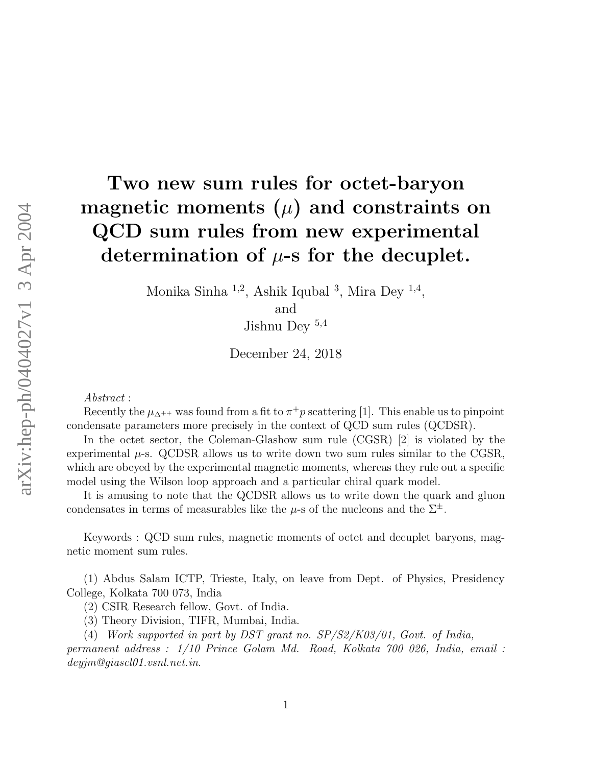# Two new sum rules for octet-baryon magnetic moments  $(\mu)$  and constraints on QCD sum rules from new experimental determination of  $\mu$ -s for the decuplet.

Monika Sinha <sup>1,2</sup>, Ashik Iqubal <sup>3</sup>, Mira Dey <sup>1,4</sup>,

and

Jishnu Dey <sup>5</sup>,<sup>4</sup>

December 24, 2018

*Abstract* :

Recently the  $\mu_{\Delta^{++}}$  was found from a fit to  $\pi^+p$  scattering [1]. This enable us to pinpoint condensate parameters more precisely in the context of QCD sum rules (QCDSR).

In the octet sector, the Coleman-Glashow sum rule (CGSR) [2] is violated by the experimental  $\mu$ -s. QCDSR allows us to write down two sum rules similar to the CGSR, which are obeyed by the experimental magnetic moments, whereas they rule out a specific model using the Wilson loop approach and a particular chiral quark model.

It is amusing to note that the QCDSR allows us to write down the quark and gluon condensates in terms of measurables like the  $\mu$ -s of the nucleons and the  $\Sigma^{\pm}$ .

Keywords : QCD sum rules, magnetic moments of octet and decuplet baryons, magnetic moment sum rules.

(1) Abdus Salam ICTP, Trieste, Italy, on leave from Dept. of Physics, Presidency College, Kolkata 700 073, India

(2) CSIR Research fellow, Govt. of India.

(3) Theory Division, TIFR, Mumbai, India.

(4) *Work supported in part by DST grant no. SP/S2/K03/01, Govt. of India,*

*permanent address : 1/10 Prince Golam Md. Road, Kolkata 700 026, India, email : deyjm@giascl01.vsnl.net.in*.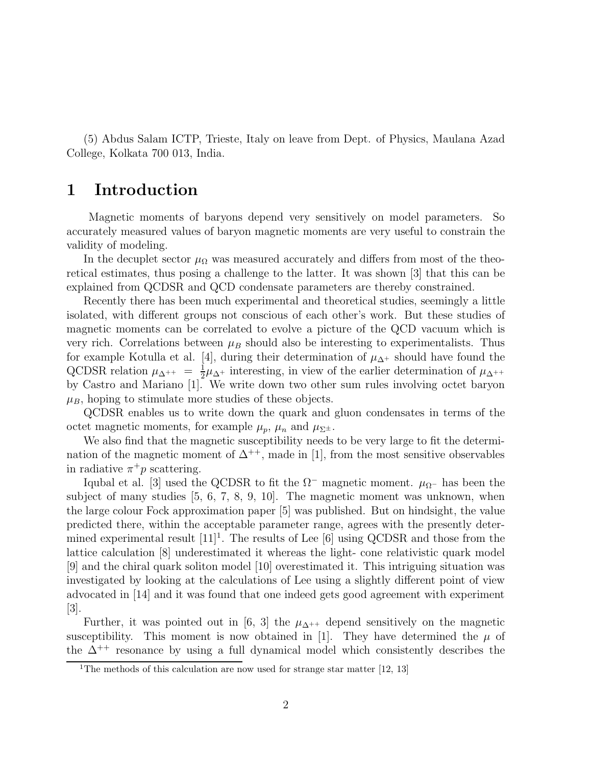(5) Abdus Salam ICTP, Trieste, Italy on leave from Dept. of Physics, Maulana Azad College, Kolkata 700 013, India.

## 1 Introduction

Magnetic moments of baryons depend very sensitively on model parameters. So accurately measured values of baryon magnetic moments are very useful to constrain the validity of modeling.

In the decuplet sector  $\mu_{\Omega}$  was measured accurately and differs from most of the theoretical estimates, thus posing a challenge to the latter. It was shown [3] that this can be explained from QCDSR and QCD condensate parameters are thereby constrained.

Recently there has been much experimental and theoretical studies, seemingly a little isolated, with different groups not conscious of each other's work. But these studies of magnetic moments can be correlated to evolve a picture of the QCD vacuum which is very rich. Correlations between  $\mu_B$  should also be interesting to experimentalists. Thus for example Kotulla et al. [4], during their determination of  $\mu_{\Delta^+}$  should have found the QCDSR relation  $\mu_{\Delta^{++}} = \frac{1}{2}$  $\frac{1}{2}\mu_{\Delta^+}$  interesting, in view of the earlier determination of  $\mu_{\Delta^{++}}$ by Castro and Mariano [1]. We write down two other sum rules involving octet baryon  $\mu_B$ , hoping to stimulate more studies of these objects.

QCDSR enables us to write down the quark and gluon condensates in terms of the octet magnetic moments, for example  $\mu_p$ ,  $\mu_n$  and  $\mu_{\Sigma^{\pm}}$ .

We also find that the magnetic susceptibility needs to be very large to fit the determination of the magnetic moment of  $\Delta^{++}$ , made in [1], from the most sensitive observables in radiative  $\pi^+ p$  scattering.

Iqubal et al. [3] used the QCDSR to fit the  $\Omega^-$  magnetic moment.  $\mu_{\Omega^-}$  has been the subject of many studies [5, 6, 7, 8, 9, 10]. The magnetic moment was unknown, when the large colour Fock approximation paper [5] was published. But on hindsight, the value predicted there, within the acceptable parameter range, agrees with the presently determined experimental result  $[11]^1$ . The results of Lee  $[6]$  using QCDSR and those from the lattice calculation [8] underestimated it whereas the light- cone relativistic quark model [9] and the chiral quark soliton model [10] overestimated it. This intriguing situation was investigated by looking at the calculations of Lee using a slightly different point of view advocated in [14] and it was found that one indeed gets good agreement with experiment [3].

Further, it was pointed out in [6, 3] the  $\mu_{\Delta^{++}}$  depend sensitively on the magnetic susceptibility. This moment is now obtained in [1]. They have determined the  $\mu$  of the  $\Delta^{++}$  resonance by using a full dynamical model which consistently describes the

<sup>&</sup>lt;sup>1</sup>The methods of this calculation are now used for strange star matter [12, 13]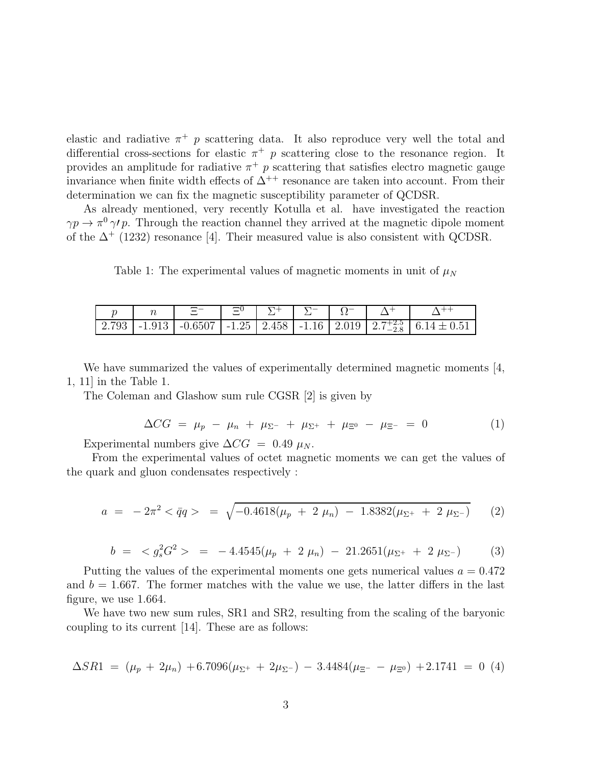elastic and radiative  $\pi^+$  p scattering data. It also reproduce very well the total and differential cross-sections for elastic  $\pi^+$  p scattering close to the resonance region. It provides an amplitude for radiative  $\pi^+$  p scattering that satisfies electro magnetic gauge invariance when finite width effects of  $\Delta^{++}$  resonance are taken into account. From their determination we can fix the magnetic susceptibility parameter of QCDSR.

As already mentioned, very recently Kotulla et al. have investigated the reaction  $\gamma p \to \pi^0 \gamma^{\prime} p$ . Through the reaction channel they arrived at the magnetic dipole moment of the  $\Delta^+$  (1232) resonance [4]. Their measured value is also consistent with QCDSR.

Table 1: The experimental values of magnetic moments in unit of  $\mu<sub>N</sub>$ 

|  | Ξ |  |  |                                                                                                  |
|--|---|--|--|--------------------------------------------------------------------------------------------------|
|  |   |  |  | 2.793   -1.913   -0.6507   -1.25   2.458   -1.16   2.019   $2.7^{+2.5}_{-2.8}$   $6.14 \pm 0.51$ |

We have summarized the values of experimentally determined magnetic moments [4, 1, 11] in the Table 1.

The Coleman and Glashow sum rule CGSR [2] is given by

$$
\Delta CG = \mu_p - \mu_n + \mu_{\Sigma^-} + \mu_{\Sigma^+} + \mu_{\Xi^0} - \mu_{\Xi^-} = 0 \tag{1}
$$

Experimental numbers give  $\Delta CG = 0.49 \mu_N$ .

From the experimental values of octet magnetic moments we can get the values of the quark and gluon condensates respectively :

$$
a = -2\pi^2 < \bar{q}q > = \sqrt{-0.4618(\mu_p + 2 \mu_n) - 1.8382(\mu_{\Sigma^+} + 2 \mu_{\Sigma^-})} \tag{2}
$$

$$
b = \langle g_s^2 G^2 \rangle = -4.4545(\mu_p + 2 \mu_n) - 21.2651(\mu_{\Sigma^+} + 2 \mu_{\Sigma^-}) \tag{3}
$$

Putting the values of the experimental moments one gets numerical values  $a = 0.472$ and  $b = 1.667$ . The former matches with the value we use, the latter differs in the last figure, we use 1.664.

We have two new sum rules, SR1 and SR2, resulting from the scaling of the baryonic coupling to its current [14]. These are as follows:

$$
\Delta S R1 = (\mu_p + 2\mu_n) + 6.7096(\mu_{\Sigma^+} + 2\mu_{\Sigma^-}) - 3.4484(\mu_{\Xi^-} - \mu_{\Xi^0}) + 2.1741 = 0
$$
 (4)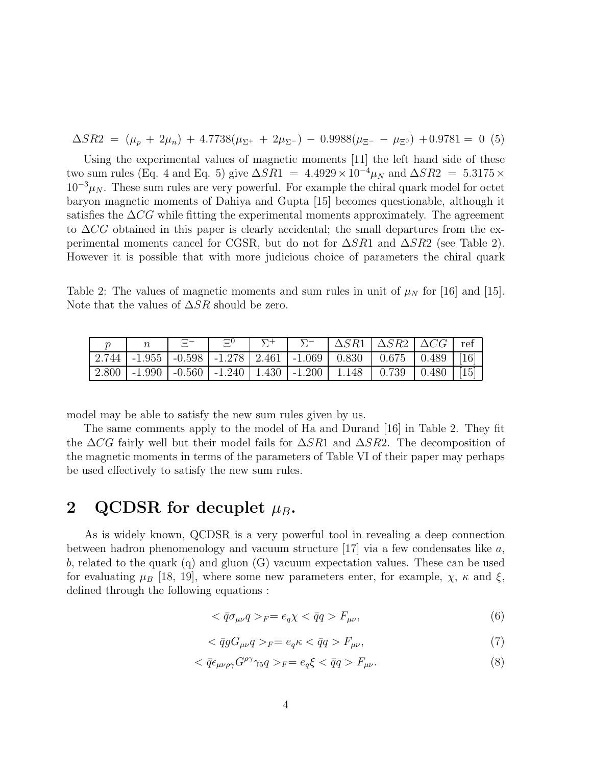$$
\Delta SR2 = (\mu_p + 2\mu_n) + 4.7738(\mu_{\Sigma^+} + 2\mu_{\Sigma^-}) - 0.9988(\mu_{\Xi^-} - \mu_{\Xi^0}) + 0.9781 = 0
$$
 (5)

Using the experimental values of magnetic moments [11] the left hand side of these two sum rules (Eq. 4 and Eq. 5) give  $\Delta SR1 = 4.4929 \times 10^{-4} \mu_N$  and  $\Delta SR2 = 5.3175 \times$  $10^{-3}\mu_N$ . These sum rules are very powerful. For example the chiral quark model for octet baryon magnetic moments of Dahiya and Gupta [15] becomes questionable, although it satisfies the  $\Delta CG$  while fitting the experimental moments approximately. The agreement to  $\Delta CG$  obtained in this paper is clearly accidental; the small departures from the experimental moments cancel for CGSR, but do not for  $\Delta SRI$  and  $\Delta SR2$  (see Table 2). However it is possible that with more judicious choice of parameters the chiral quark

Table 2: The values of magnetic moments and sum rules in unit of  $\mu<sub>N</sub>$  for [16] and [15]. Note that the values of  $\Delta SR$  should be zero.

|  | - 모드 | $\Xi^0$ |  | $\Delta$ SR1   $\Delta$ SR2   $\Delta$ CG   ref                                  |  |
|--|------|---------|--|----------------------------------------------------------------------------------|--|
|  |      |         |  | 2.744   -1.955   -0.598   -1.278   2.461   -1.069   0.830   0.675   0.489   [16] |  |
|  |      |         |  | 2.800   -1.990   -0.560   -1.240   1.430   -1.200   1.148   0.739   0.480   [15] |  |

model may be able to satisfy the new sum rules given by us.

The same comments apply to the model of Ha and Durand [16] in Table 2. They fit the  $\Delta CG$  fairly well but their model fails for  $\Delta SR1$  and  $\Delta SR2$ . The decomposition of the magnetic moments in terms of the parameters of Table VI of their paper may perhaps be used effectively to satisfy the new sum rules.

## 2 QCDSR for decuplet  $\mu_B$ .

As is widely known, QCDSR is a very powerful tool in revealing a deep connection between hadron phenomenology and vacuum structure  $[17]$  via a few condensates like a, b, related to the quark (q) and gluon (G) vacuum expectation values. These can be used for evaluating  $\mu_B$  [18, 19], where some new parameters enter, for example,  $\chi$ ,  $\kappa$  and  $\xi$ , defined through the following equations :

$$
\langle \bar{q}\sigma_{\mu\nu}q \rangle_F = e_q \chi \langle \bar{q}q \rangle F_{\mu\nu},\tag{6}
$$

$$
\langle \bar{q}g G_{\mu\nu} q \rangle_F = e_q \kappa \langle \bar{q}q \rangle F_{\mu\nu},\tag{7}
$$

$$
\langle \bar{q} \epsilon_{\mu\nu\rho\gamma} G^{\rho\gamma} \gamma_5 q \rangle_F = e_q \xi \langle \bar{q} q \rangle F_{\mu\nu}.
$$
\n(8)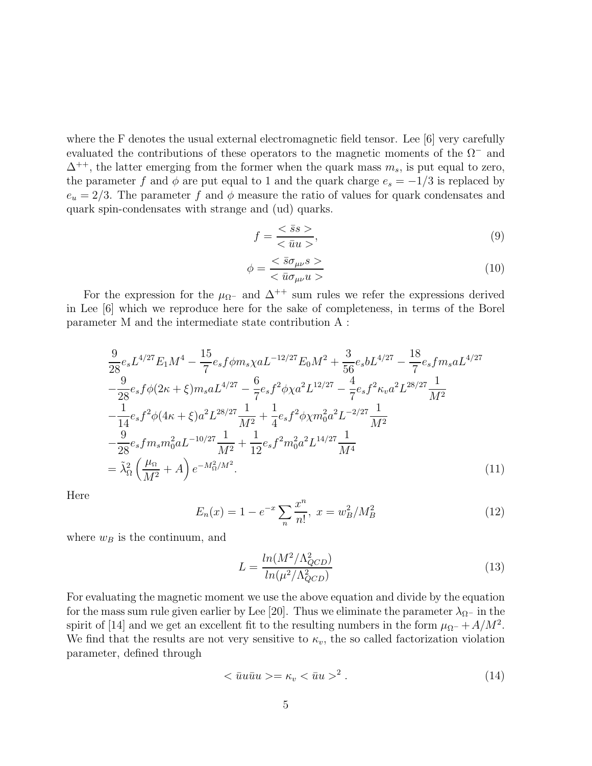where the F denotes the usual external electromagnetic field tensor. Lee [6] very carefully evaluated the contributions of these operators to the magnetic moments of the  $\Omega^-$  and  $\Delta^{++}$ , the latter emerging from the former when the quark mass  $m_s$ , is put equal to zero, the parameter f and  $\phi$  are put equal to 1 and the quark charge  $e_s = -1/3$  is replaced by  $e_u = 2/3$ . The parameter f and  $\phi$  measure the ratio of values for quark condensates and quark spin-condensates with strange and (ud) quarks.

$$
f = \frac{\langle \bar{s}s \rangle}{\langle \bar{u}u \rangle},\tag{9}
$$

$$
\phi = \frac{<\bar{s}\sigma_{\mu\nu}s>}{<\bar{u}\sigma_{\mu\nu}u>}\tag{10}
$$

For the expression for the  $\mu_{\Omega}$ - and  $\Delta^{++}$  sum rules we refer the expressions derived in Lee [6] which we reproduce here for the sake of completeness, in terms of the Borel parameter M and the intermediate state contribution A :

$$
\frac{9}{28}e_s L^{4/27} E_1 M^4 - \frac{15}{7}e_s f \phi m_s \chi a L^{-12/27} E_0 M^2 + \frac{3}{56}e_s b L^{4/27} - \frac{18}{7}e_s f m_s a L^{4/27} \n- \frac{9}{28}e_s f \phi (2\kappa + \xi) m_s a L^{4/27} - \frac{6}{7}e_s f^2 \phi \chi a^2 L^{12/27} - \frac{4}{7}e_s f^2 \kappa_v a^2 L^{28/27} \frac{1}{M^2} \n- \frac{1}{14}e_s f^2 \phi (4\kappa + \xi) a^2 L^{28/27} \frac{1}{M^2} + \frac{1}{4}e_s f^2 \phi \chi m_0^2 a^2 L^{-2/27} \frac{1}{M^2} \n- \frac{9}{28}e_s f m_s m_0^2 a L^{-10/27} \frac{1}{M^2} + \frac{1}{12}e_s f^2 m_0^2 a^2 L^{14/27} \frac{1}{M^4} \n= \tilde{\lambda}_{\Omega}^2 \left( \frac{\mu_{\Omega}}{M^2} + A \right) e^{-M_{\Omega}^2/M^2}.
$$
\n(11)

Here

$$
E_n(x) = 1 - e^{-x} \sum_{n} \frac{x^n}{n!}, \ x = w_B^2 / M_B^2 \tag{12}
$$

where  $w_B$  is the continuum, and

$$
L = \frac{\ln(M^2/\Lambda_{QCD}^2)}{\ln(\mu^2/\Lambda_{QCD}^2)}\tag{13}
$$

For evaluating the magnetic moment we use the above equation and divide by the equation for the mass sum rule given earlier by Lee [20]. Thus we eliminate the parameter  $\lambda_{\Omega}$ – in the spirit of [14] and we get an excellent fit to the resulting numbers in the form  $\mu_{\Omega^-} + A/M^2$ . We find that the results are not very sensitive to  $\kappa_v$ , the so called factorization violation parameter, defined through

$$
\langle \bar{u}u\bar{u}u\rangle = \kappa_v \langle \bar{u}u\rangle^2. \tag{14}
$$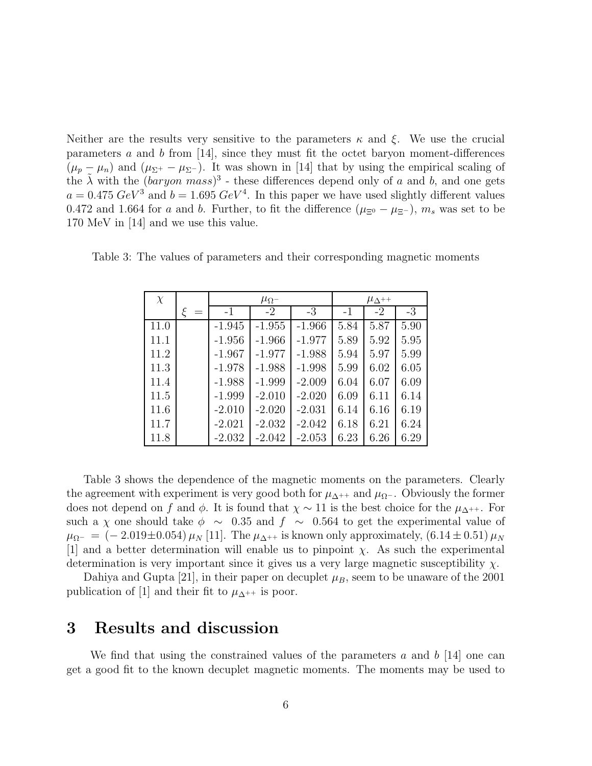Neither are the results very sensitive to the parameters  $\kappa$  and  $\xi$ . We use the crucial parameters  $a$  and  $b$  from [14], since they must fit the octet baryon moment-differences  $(\mu_p - \mu_n)$  and  $(\mu_{\Sigma^+} - \mu_{\Sigma^-})$ . It was shown in [14] that by using the empirical scaling of the  $\tilde{\lambda}$  with the  $(baryon~mass)^3$  - these differences depend only of a and b, and one gets  $a = 0.475 \; GeV^3$  and  $b = 1.695 \; GeV^4$ . In this paper we have used slightly different values 0.472 and 1.664 for a and b. Further, to fit the difference  $(\mu_{\Xi^0} - \mu_{\Xi^-})$ ,  $m_s$  was set to be 170 MeV in [14] and we use this value.

| $\chi$ |          | $\mu_{\Lambda^{++}}$ |          |      |      |      |
|--------|----------|----------------------|----------|------|------|------|
|        | $-1$     | $-2$                 | $-3$     | $-1$ | $-2$ | $-3$ |
| 11.0   | $-1.945$ | $-1.955$             | $-1.966$ | 5.84 | 5.87 | 5.90 |
| 11.1   | $-1.956$ | $-1.966$             | $-1.977$ | 5.89 | 5.92 | 5.95 |
| 11.2   | $-1.967$ | $-1.977$             | $-1.988$ | 5.94 | 5.97 | 5.99 |
| 11.3   | $-1.978$ | $-1.988$             | $-1.998$ | 5.99 | 6.02 | 6.05 |
| 11.4   | $-1.988$ | $-1.999$             | $-2.009$ | 6.04 | 6.07 | 6.09 |
| 11.5   | $-1.999$ | $-2.010$             | $-2.020$ | 6.09 | 6.11 | 6.14 |
| 11.6   | $-2.010$ | $-2.020$             | $-2.031$ | 6.14 | 6.16 | 6.19 |
| 11.7   | $-2.021$ | $-2.032$             | $-2.042$ | 6.18 | 6.21 | 6.24 |
| 11.8   | $-2.032$ | $-2.042$             | $-2.053$ | 6.23 | 6.26 | 6.29 |

Table 3: The values of parameters and their corresponding magnetic moments

Table 3 shows the dependence of the magnetic moments on the parameters. Clearly the agreement with experiment is very good both for  $\mu_{\Delta^{++}}$  and  $\mu_{\Omega^{-}}$ . Obviously the former does not depend on f and  $\phi$ . It is found that  $\chi \sim 11$  is the best choice for the  $\mu_{\Delta^{++}}$ . For such a  $\chi$  one should take  $\phi \sim 0.35$  and  $f \sim 0.564$  to get the experimental value of  $\mu_{\Omega^-} = (-2.019 \pm 0.054) \mu_N$  [11]. The  $\mu_{\Delta^{++}}$  is known only approximately,  $(6.14 \pm 0.51) \mu_N$ [1] and a better determination will enable us to pinpoint  $\chi$ . As such the experimental determination is very important since it gives us a very large magnetic susceptibility  $\chi$ .

Dahiya and Gupta [21], in their paper on decuplet  $\mu_B$ , seem to be unaware of the 2001 publication of [1] and their fit to  $\mu_{\Delta^{++}}$  is poor.

#### 3 Results and discussion

We find that using the constrained values of the parameters  $a$  and  $b$  [14] one can get a good fit to the known decuplet magnetic moments. The moments may be used to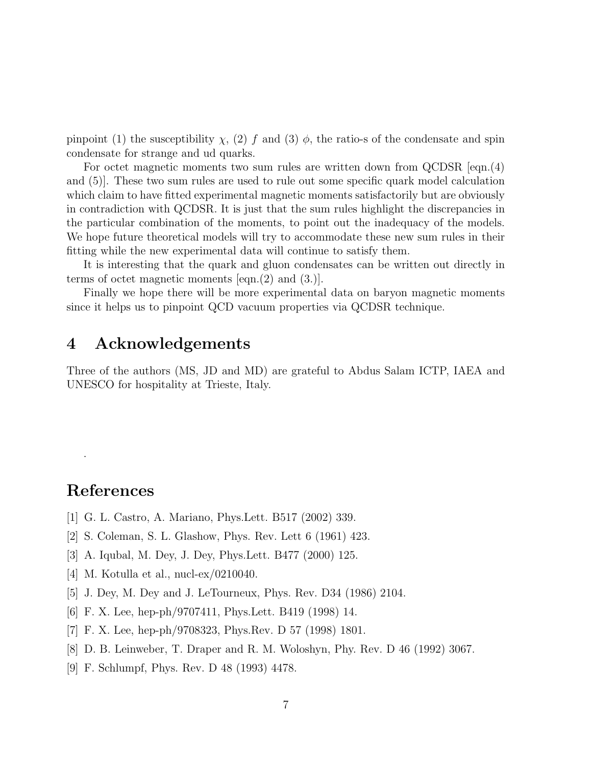pinpoint (1) the susceptibility  $\chi$ , (2) f and (3)  $\phi$ , the ratio-s of the condensate and spin condensate for strange and ud quarks.

For octet magnetic moments two sum rules are written down from QCDSR [eqn.(4) and (5)]. These two sum rules are used to rule out some specific quark model calculation which claim to have fitted experimental magnetic moments satisfactorily but are obviously in contradiction with QCDSR. It is just that the sum rules highlight the discrepancies in the particular combination of the moments, to point out the inadequacy of the models. We hope future theoretical models will try to accommodate these new sum rules in their fitting while the new experimental data will continue to satisfy them.

It is interesting that the quark and gluon condensates can be written out directly in terms of octet magnetic moments [eqn.(2) and (3.)].

Finally we hope there will be more experimental data on baryon magnetic moments since it helps us to pinpoint QCD vacuum properties via QCDSR technique.

## 4 Acknowledgements

Three of the authors (MS, JD and MD) are grateful to Abdus Salam ICTP, IAEA and UNESCO for hospitality at Trieste, Italy.

# References

.

- [1] G. L. Castro, A. Mariano, Phys.Lett. B517 (2002) 339.
- [2] S. Coleman, S. L. Glashow, Phys. Rev. Lett 6 (1961) 423.
- [3] A. Iqubal, M. Dey, J. Dey, Phys.Lett. B477 (2000) 125.
- [4] M. Kotulla et al., nucl-ex/0210040.
- [5] J. Dey, M. Dey and J. LeTourneux, Phys. Rev. D34 (1986) 2104.
- [6] F. X. Lee, hep-ph/9707411, Phys.Lett. B419 (1998) 14.
- [7] F. X. Lee, hep-ph/9708323, Phys.Rev. D 57 (1998) 1801.
- [8] D. B. Leinweber, T. Draper and R. M. Woloshyn, Phy. Rev. D 46 (1992) 3067.
- [9] F. Schlumpf, Phys. Rev. D 48 (1993) 4478.